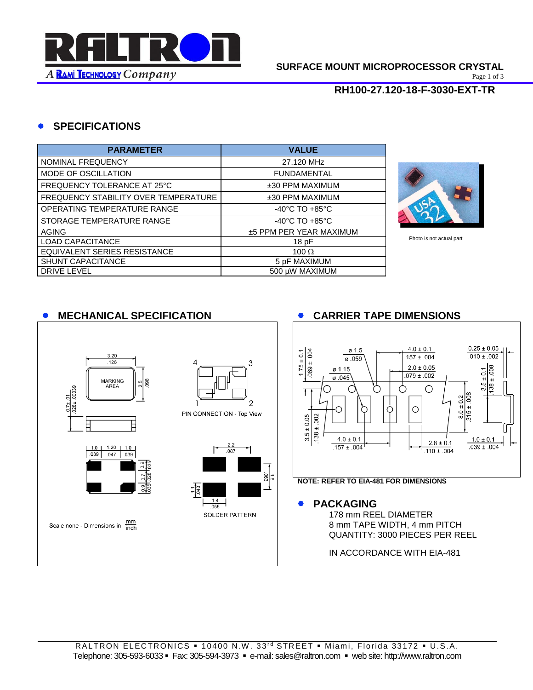

Page 1 of 3

### **RH100-27.120-18-F-3030-EXT-TR**

### **SPECIFICATIONS**

| <b>PARAMETER</b>                     | <b>VALUE</b>                       |
|--------------------------------------|------------------------------------|
| NOMINAL FREQUENCY                    | 27.120 MHz                         |
| <b>MODE OF OSCILLATION</b>           | <b>FUNDAMENTAL</b>                 |
| FREQUENCY TOLERANCE AT 25°C          | $±30$ PPM MAXIMUM                  |
| FREQUENCY STABILITY OVER TEMPERATURE | ±30 PPM MAXIMUM                    |
| OPERATING TEMPERATURE RANGE          | $-40^{\circ}$ C TO $+85^{\circ}$ C |
| STORAGE TEMPERATURE RANGE            | $-40^{\circ}$ C TO $+85^{\circ}$ C |
| <b>AGING</b>                         | ±5 PPM PER YEAR MAXIMUM            |
| LOAD CAPACITANCE                     | 18pF                               |
| EQUIVALENT SERIES RESISTANCE         | 100 $\Omega$                       |
| <b>SHUNT CAPACITANCE</b>             | 5 pF MAXIMUM                       |
| <b>DRIVE LEVEL</b>                   | 500 uW MAXIMUM                     |



Photo is not actual part

## **MECHANICAL SPECIFICATION CARRIER TAPE DIMENSIONS**

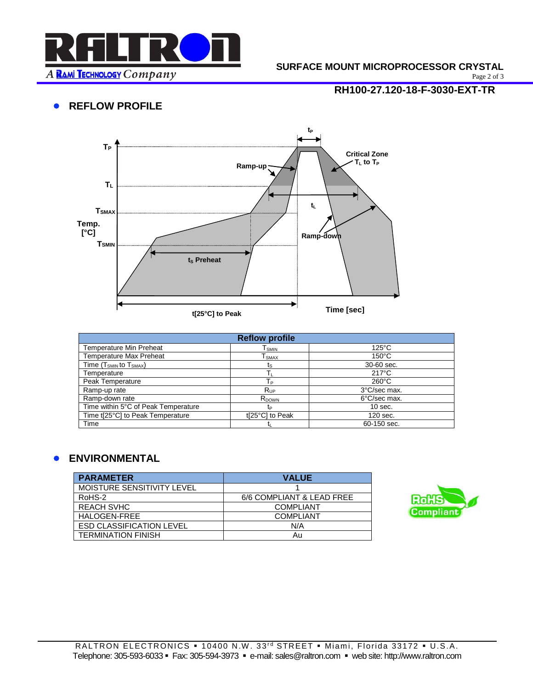

#### **SURFACE MOUNT MICROPROCESSOR CRYSTAL**

Page 2 of 3

# **RH100-27.120-18-F-3030-EXT-TR**

### **• REFLOW PROFILE**



| <b>Reflow profile</b>               |                 |                 |  |  |
|-------------------------------------|-----------------|-----------------|--|--|
| <b>Temperature Min Preheat</b>      | l smin          | $125^{\circ}$ C |  |  |
| <b>Temperature Max Preheat</b>      | I SMAX          | $150^{\circ}$ C |  |  |
| Time $(T_{SMIN}$ to $T_{SMAX}$ )    | ts              | 30-60 sec.      |  |  |
| Temperature                         |                 | $217^{\circ}$ C |  |  |
| Peak Temperature                    | Tр              | $260^{\circ}$ C |  |  |
| Ramp-up rate                        | $R_{UP}$        | 3°C/sec max.    |  |  |
| Ramp-down rate                      | $R_{DOWN}$      | 6°C/sec max.    |  |  |
| Time within 5°C of Peak Temperature | tp              | $10$ sec.       |  |  |
| Time t[25°C] to Peak Temperature    | t[25°C] to Peak | 120 sec.        |  |  |
| Time                                |                 | 60-150 sec.     |  |  |

### **ENVIRONMENTAL**

| <b>PARAMETER</b>                | <b>VALUE</b>              |
|---------------------------------|---------------------------|
| MOISTURE SENSITIVITY LEVEL      |                           |
| RoHS-2                          | 6/6 COMPLIANT & LEAD FREE |
| <b>REACH SVHC</b>               | <b>COMPLIANT</b>          |
| HALOGEN-FREE                    | <b>COMPLIANT</b>          |
| <b>ESD CLASSIFICATION LEVEL</b> | N/A                       |
| <b>TERMINATION FINISH</b>       | Au                        |